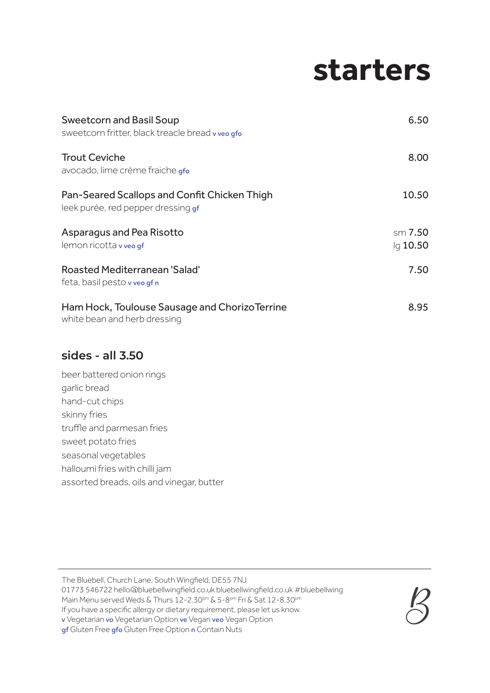## **starters**

| <b>Sweetcorn and Basil Soup</b><br>sweetcorn fritter, black treacle bread v veo gfo | 6.50                  |
|-------------------------------------------------------------------------------------|-----------------------|
| <b>Trout Ceviche</b><br>avocado, lime crème fraiche gfo                             | 8.00                  |
| Pan-Seared Scallops and Confit Chicken Thigh<br>leek purée, red pepper dressing gf  | 10.50                 |
| Asparagus and Pea Risotto<br>lemon ricotta v veo gf                                 | sm 7.50<br>$Iq$ 10.50 |
| <b>Roasted Mediterranean 'Salad'</b><br>feta, basil pesto v veo gf n                | 7.50                  |
| Ham Hock, Toulouse Sausage and ChorizoTerrine<br>white bean and herb dressing       | 8.95                  |

### **sides - all 3.50**

beer battered onion rings garlic bread hand-cut chips skinny fries truffle and parmesan fries sweet potato fries seasonal vegetables halloumi fries with chilli jam assorted breads, oils and vinegar, butter

The Bluebell, Church Lane, South Wingfield, DE55 7NJ

01773 546722 hello@bluebellwingfield.co.uk bluebellwingfield.co.uk #bluebellwing

Main Menu served Weds & Thurs 12-2.30pm & 5-8pm Fri & Sat 12-8.30pm

If you have a specific allergy or dietary requirement, please let us know.

v Vegetarian vo Vegetarian Option ve Vegan veo Vegan Option



gf Gluten Free gfo Gluten Free Option n Contain Nuts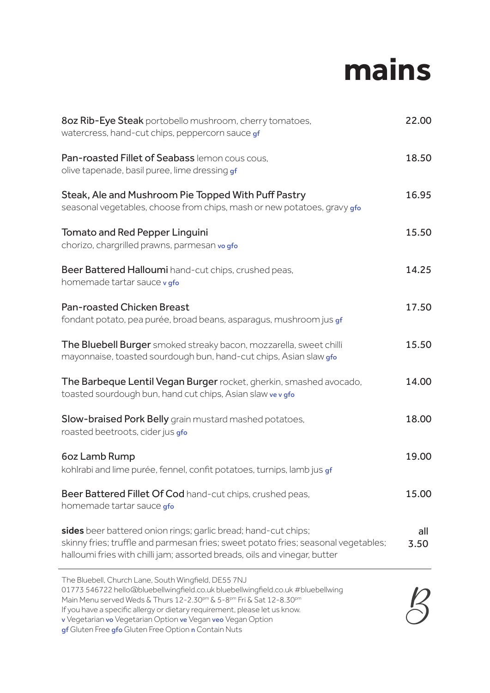# **mains**

| 8oz Rib-Eye Steak portobello mushroom, cherry tomatoes,<br>watercress, hand-cut chips, peppercorn sauce gf                                                                                                                        | 22.00       |
|-----------------------------------------------------------------------------------------------------------------------------------------------------------------------------------------------------------------------------------|-------------|
| Pan-roasted Fillet of Seabass lemon cous cous,<br>olive tapenade, basil puree, lime dressing gf                                                                                                                                   | 18.50       |
| Steak, Ale and Mushroom Pie Topped With Puff Pastry<br>seasonal vegetables, choose from chips, mash or new potatoes, gravy gfo                                                                                                    | 16.95       |
| <b>Tomato and Red Pepper Linguini</b><br>chorizo, chargrilled prawns, parmesan vo gfo                                                                                                                                             | 15.50       |
| Beer Battered Halloumi hand-cut chips, crushed peas,<br>homemade tartar sauce v gfo                                                                                                                                               | 14.25       |
| <b>Pan-roasted Chicken Breast</b><br>fondant potato, pea purée, broad beans, asparagus, mushroom jus gf                                                                                                                           | 17.50       |
| The Bluebell Burger smoked streaky bacon, mozzarella, sweet chilli<br>mayonnaise, toasted sourdough bun, hand-cut chips, Asian slaw gfo                                                                                           | 15.50       |
| The Barbeque Lentil Vegan Burger rocket, gherkin, smashed avocado,<br>toasted sourdough bun, hand cut chips, Asian slaw ve v gfo                                                                                                  | 14.00       |
| Slow-braised Pork Belly grain mustard mashed potatoes,<br>roasted beetroots, cider jus gfo                                                                                                                                        | 18.00       |
| 6oz Lamb Rump<br>kohlrabi and lime purée, fennel, confit potatoes, turnips, lamb jus gf                                                                                                                                           | 19.00       |
| Beer Battered Fillet Of Cod hand-cut chips, crushed peas,<br>homemade tartar sauce gfo                                                                                                                                            | 15.00       |
| sides beer battered onion rings; garlic bread; hand-cut chips;<br>skinny fries; truffle and parmesan fries; sweet potato fries; seasonal vegetables;<br>halloumi fries with chilli jam; assorted breads, oils and vinegar, butter | all<br>3.50 |
| The Bluebell, Church Lane, South Wingfield, DE55 7NJ                                                                                                                                                                              |             |

01773 546722 hello@bluebellwingfield.co.uk bluebellwingfield.co.uk #bluebellwing

Main Menu served Weds & Thurs 12-2.30pm & 5-8pm Fri & Sat 12-8.30pm

If you have a specific allergy or dietary requirement, please let us know.

v Vegetarian vo Vegetarian Option ve Vegan veo Vegan Option

gf Gluten Free gfo Gluten Free Option n Contain Nuts

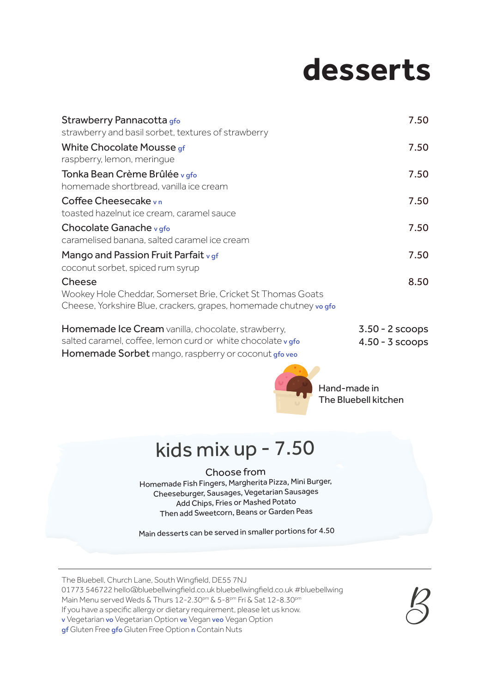# **desserts**

| Strawberry Pannacotta gfo                                                                                                                 | 7.50              |
|-------------------------------------------------------------------------------------------------------------------------------------------|-------------------|
| strawberry and basil sorbet, textures of strawberry                                                                                       |                   |
| White Chocolate Mousse gf<br>raspberry, lemon, meringue                                                                                   | 7.50              |
| Tonka Bean Crème Brûlée v gfo<br>homemade shortbread, vanilla ice cream                                                                   | 7.50              |
| Coffee Cheesecake vn<br>toasted hazelnut ice cream, caramel sauce                                                                         | 7.50              |
| Chocolate Ganache v gfo<br>caramelised banana, salted caramel ice cream                                                                   | 7.50              |
| Mango and Passion Fruit Parfait v gf<br>coconut sorbet, spiced rum syrup                                                                  | 7.50              |
| Cheese<br>Wookey Hole Cheddar, Somerset Brie, Cricket St Thomas Goats<br>Cheese, Yorkshire Blue, crackers, grapes, homemade chutney vogfo | 8.50              |
| Homemade Ice Cream vanilla, chocolate, strawberry,                                                                                        | $3.50 - 2$ scoops |

salted caramel, coffee, lemon curd or white chocolate v gfo Homemade Sorbet mango, raspberry or coconut gfo veo 4.50 - 3 scoops



Hand-made in The Bluebell kitchen

### kids mix up - 7.50

#### Choose from

Homemade Fish Fingers, Margherita Pizza, Mini Burger, Cheeseburger, Sausages, Vegetarian Sausages Add Chips, Fries or Mashed Potato Then add Sweetcorn, Beans or Garden Peas

Main desserts can be served in smaller portions for 4.50

The Bluebell, Church Lane, South Wingfield, DE55 7NJ

01773 546722 hello@bluebellwingfield.co.uk bluebellwingfield.co.uk #bluebellwing

Main Menu served Weds & Thurs 12-2.30pm & 5-8pm Fri & Sat 12-8.30pm

If you have a specific allergy or dietary requirement, please let us know.

v Vegetarian vo Vegetarian Option ve Vegan veo Vegan Option

gf Gluten Free gfo Gluten Free Option n Contain Nuts